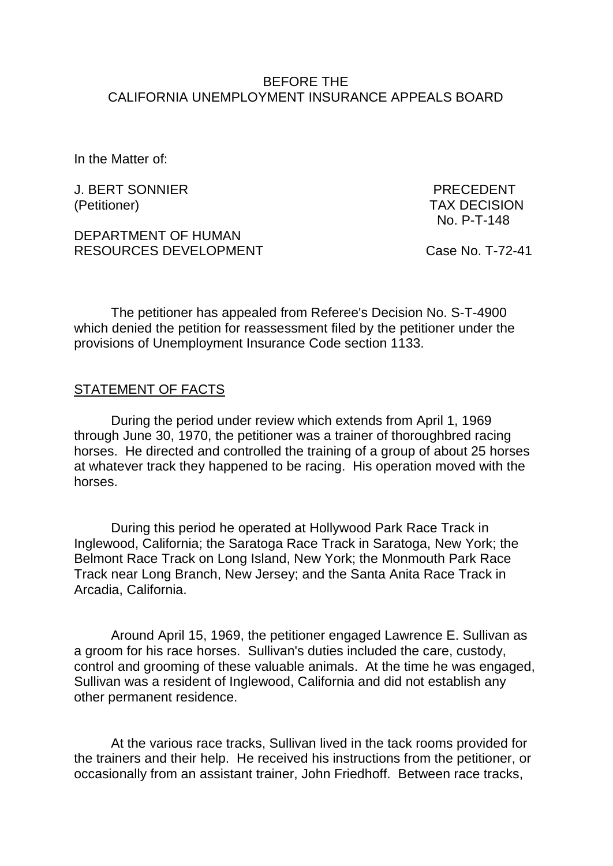## BEFORE THE CALIFORNIA UNEMPLOYMENT INSURANCE APPEALS BOARD

In the Matter of:

J. BERT SONNIER PRECEDENT (Petitioner) TAX DECISION

DEPARTMENT OF HUMAN RESOURCES DEVELOPMENT Case No. T-72-41

No. P-T-148

The petitioner has appealed from Referee's Decision No. S-T-4900 which denied the petition for reassessment filed by the petitioner under the provisions of Unemployment Insurance Code section 1133.

## STATEMENT OF FACTS

During the period under review which extends from April 1, 1969 through June 30, 1970, the petitioner was a trainer of thoroughbred racing horses. He directed and controlled the training of a group of about 25 horses at whatever track they happened to be racing. His operation moved with the horses.

During this period he operated at Hollywood Park Race Track in Inglewood, California; the Saratoga Race Track in Saratoga, New York; the Belmont Race Track on Long Island, New York; the Monmouth Park Race Track near Long Branch, New Jersey; and the Santa Anita Race Track in Arcadia, California.

Around April 15, 1969, the petitioner engaged Lawrence E. Sullivan as a groom for his race horses. Sullivan's duties included the care, custody, control and grooming of these valuable animals. At the time he was engaged, Sullivan was a resident of Inglewood, California and did not establish any other permanent residence.

At the various race tracks, Sullivan lived in the tack rooms provided for the trainers and their help. He received his instructions from the petitioner, or occasionally from an assistant trainer, John Friedhoff. Between race tracks,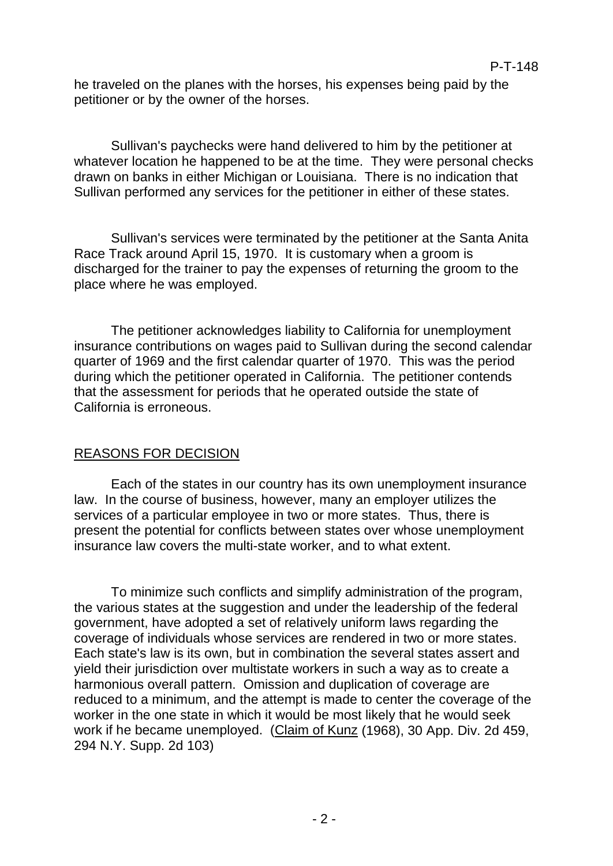he traveled on the planes with the horses, his expenses being paid by the petitioner or by the owner of the horses.

Sullivan's paychecks were hand delivered to him by the petitioner at whatever location he happened to be at the time. They were personal checks drawn on banks in either Michigan or Louisiana. There is no indication that Sullivan performed any services for the petitioner in either of these states.

Sullivan's services were terminated by the petitioner at the Santa Anita Race Track around April 15, 1970. It is customary when a groom is discharged for the trainer to pay the expenses of returning the groom to the place where he was employed.

The petitioner acknowledges liability to California for unemployment insurance contributions on wages paid to Sullivan during the second calendar quarter of 1969 and the first calendar quarter of 1970. This was the period during which the petitioner operated in California. The petitioner contends that the assessment for periods that he operated outside the state of California is erroneous.

## REASONS FOR DECISION

Each of the states in our country has its own unemployment insurance law. In the course of business, however, many an employer utilizes the services of a particular employee in two or more states. Thus, there is present the potential for conflicts between states over whose unemployment insurance law covers the multi-state worker, and to what extent.

To minimize such conflicts and simplify administration of the program, the various states at the suggestion and under the leadership of the federal government, have adopted a set of relatively uniform laws regarding the coverage of individuals whose services are rendered in two or more states. Each state's law is its own, but in combination the several states assert and yield their jurisdiction over multistate workers in such a way as to create a harmonious overall pattern. Omission and duplication of coverage are reduced to a minimum, and the attempt is made to center the coverage of the worker in the one state in which it would be most likely that he would seek work if he became unemployed. (Claim of Kunz (1968), 30 App. Div. 2d 459, 294 N.Y. Supp. 2d 103)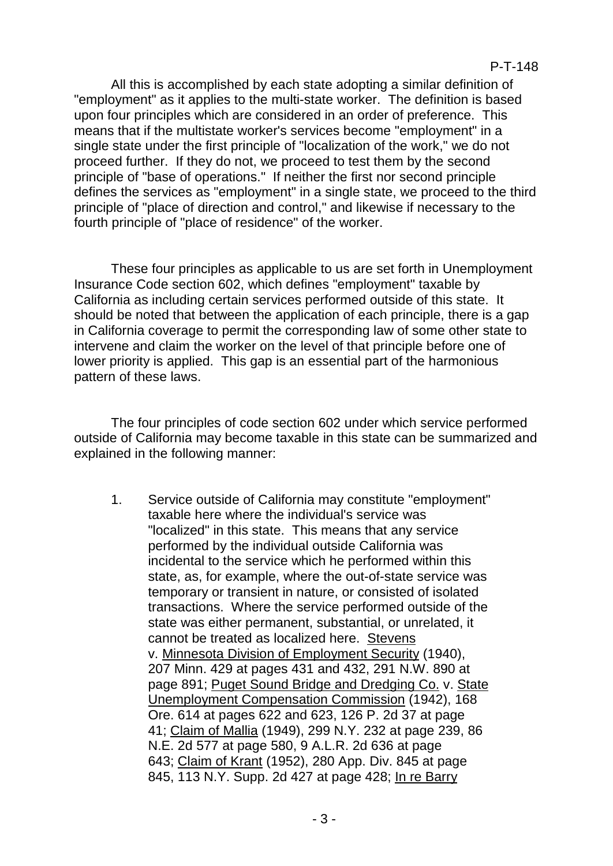All this is accomplished by each state adopting a similar definition of "employment" as it applies to the multi-state worker. The definition is based upon four principles which are considered in an order of preference. This means that if the multistate worker's services become "employment" in a single state under the first principle of "localization of the work," we do not proceed further. If they do not, we proceed to test them by the second principle of "base of operations." If neither the first nor second principle defines the services as "employment" in a single state, we proceed to the third principle of "place of direction and control," and likewise if necessary to the fourth principle of "place of residence" of the worker.

These four principles as applicable to us are set forth in Unemployment Insurance Code section 602, which defines "employment" taxable by California as including certain services performed outside of this state. It should be noted that between the application of each principle, there is a gap in California coverage to permit the corresponding law of some other state to intervene and claim the worker on the level of that principle before one of lower priority is applied. This gap is an essential part of the harmonious pattern of these laws.

The four principles of code section 602 under which service performed outside of California may become taxable in this state can be summarized and explained in the following manner:

1. Service outside of California may constitute "employment" taxable here where the individual's service was "localized" in this state. This means that any service performed by the individual outside California was incidental to the service which he performed within this state, as, for example, where the out-of-state service was temporary or transient in nature, or consisted of isolated transactions. Where the service performed outside of the state was either permanent, substantial, or unrelated, it cannot be treated as localized here. Stevens v. Minnesota Division of Employment Security (1940), 207 Minn. 429 at pages 431 and 432, 291 N.W. 890 at page 891; Puget Sound Bridge and Dredging Co. v. State Unemployment Compensation Commission (1942), 168 Ore. 614 at pages 622 and 623, 126 P. 2d 37 at page 41; Claim of Mallia (1949), 299 N.Y. 232 at page 239, 86 N.E. 2d 577 at page 580, 9 A.L.R. 2d 636 at page 643; Claim of Krant (1952), 280 App. Div. 845 at page 845, 113 N.Y. Supp. 2d 427 at page 428; In re Barry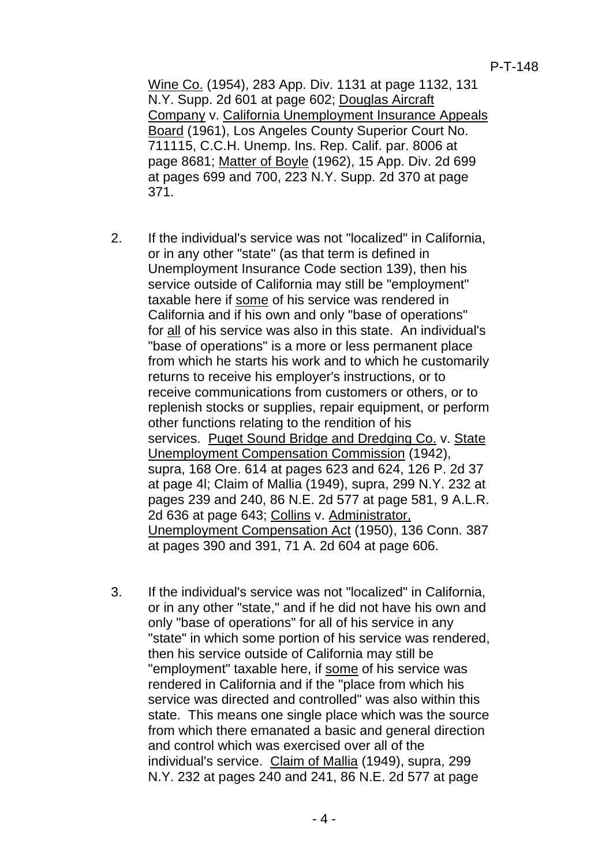Wine Co. (1954), 283 App. Div. 1131 at page 1132, 131 N.Y. Supp. 2d 601 at page 602; Douglas Aircraft Company v. California Unemployment Insurance Appeals Board (1961), Los Angeles County Superior Court No. 711115, C.C.H. Unemp. Ins. Rep. Calif. par. 8006 at page 8681; Matter of Boyle (1962), 15 App. Div. 2d 699 at pages 699 and 700, 223 N.Y. Supp. 2d 370 at page 371.

- 2. If the individual's service was not "localized" in California, or in any other "state" (as that term is defined in Unemployment Insurance Code section 139), then his service outside of California may still be "employment" taxable here if some of his service was rendered in California and if his own and only "base of operations" for all of his service was also in this state. An individual's "base of operations" is a more or less permanent place from which he starts his work and to which he customarily returns to receive his employer's instructions, or to receive communications from customers or others, or to replenish stocks or supplies, repair equipment, or perform other functions relating to the rendition of his services. Puget Sound Bridge and Dredging Co. v. State Unemployment Compensation Commission (1942), supra, 168 Ore. 614 at pages 623 and 624, 126 P. 2d 37 at page 4l; Claim of Mallia (1949), supra, 299 N.Y. 232 at pages 239 and 240, 86 N.E. 2d 577 at page 581, 9 A.L.R. 2d 636 at page 643; Collins v. Administrator, Unemployment Compensation Act (1950), 136 Conn. 387 at pages 390 and 391, 71 A. 2d 604 at page 606.
- 3. If the individual's service was not "localized" in California, or in any other "state," and if he did not have his own and only "base of operations" for all of his service in any "state" in which some portion of his service was rendered, then his service outside of California may still be "employment" taxable here, if some of his service was rendered in California and if the "place from which his service was directed and controlled" was also within this state. This means one single place which was the source from which there emanated a basic and general direction and control which was exercised over all of the individual's service. Claim of Mallia (1949), supra, 299 N.Y. 232 at pages 240 and 241, 86 N.E. 2d 577 at page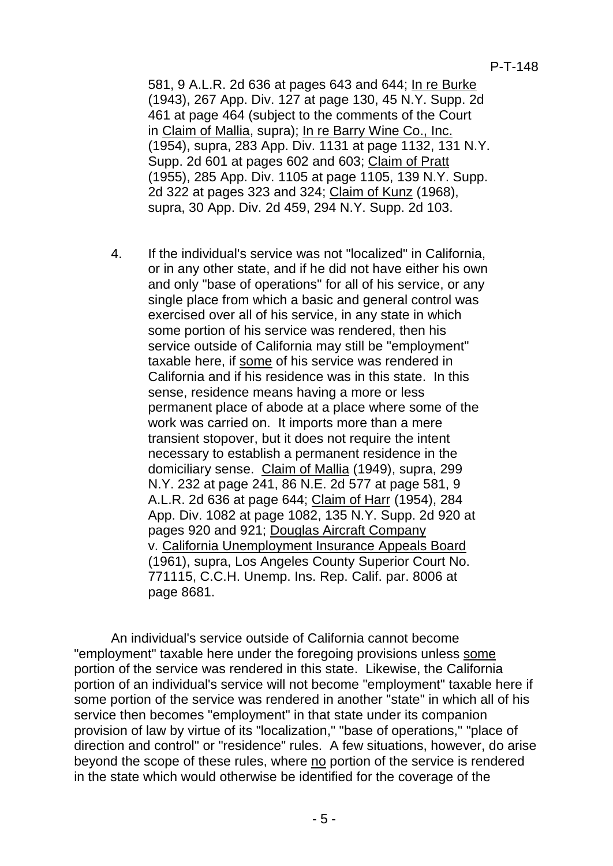581, 9 A.L.R. 2d 636 at pages 643 and 644; In re Burke (1943), 267 App. Div. 127 at page 130, 45 N.Y. Supp. 2d 461 at page 464 (subject to the comments of the Court in Claim of Mallia, supra); In re Barry Wine Co., Inc. (1954), supra, 283 App. Div. 1131 at page 1132, 131 N.Y. Supp. 2d 601 at pages 602 and 603; Claim of Pratt (1955), 285 App. Div. 1105 at page 1105, 139 N.Y. Supp. 2d 322 at pages 323 and 324; Claim of Kunz (1968), supra, 30 App. Div. 2d 459, 294 N.Y. Supp. 2d 103.

4. If the individual's service was not "localized" in California, or in any other state, and if he did not have either his own and only "base of operations" for all of his service, or any single place from which a basic and general control was exercised over all of his service, in any state in which some portion of his service was rendered, then his service outside of California may still be "employment" taxable here, if some of his service was rendered in California and if his residence was in this state. In this sense, residence means having a more or less permanent place of abode at a place where some of the work was carried on. It imports more than a mere transient stopover, but it does not require the intent necessary to establish a permanent residence in the domiciliary sense. Claim of Mallia (1949), supra, 299 N.Y. 232 at page 241, 86 N.E. 2d 577 at page 581, 9 A.L.R. 2d 636 at page 644; Claim of Harr (1954), 284 App. Div. 1082 at page 1082, 135 N.Y. Supp. 2d 920 at pages 920 and 921; Douglas Aircraft Company v. California Unemployment Insurance Appeals Board (1961), supra, Los Angeles County Superior Court No. 771115, C.C.H. Unemp. Ins. Rep. Calif. par. 8006 at page 8681.

An individual's service outside of California cannot become "employment" taxable here under the foregoing provisions unless some portion of the service was rendered in this state. Likewise, the California portion of an individual's service will not become "employment" taxable here if some portion of the service was rendered in another "state" in which all of his service then becomes "employment" in that state under its companion provision of law by virtue of its "localization," "base of operations," "place of direction and control" or "residence" rules. A few situations, however, do arise beyond the scope of these rules, where no portion of the service is rendered in the state which would otherwise be identified for the coverage of the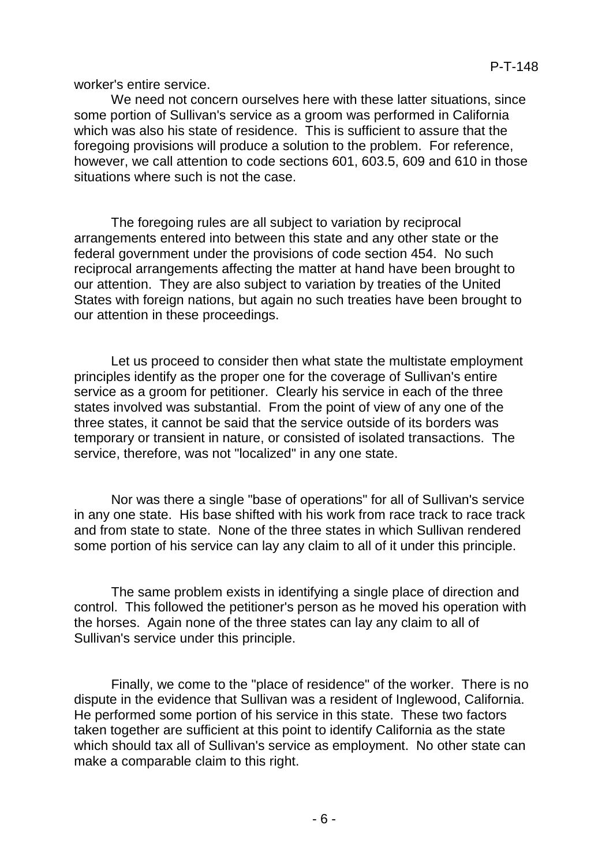worker's entire service.

We need not concern ourselves here with these latter situations, since some portion of Sullivan's service as a groom was performed in California which was also his state of residence. This is sufficient to assure that the foregoing provisions will produce a solution to the problem. For reference, however, we call attention to code sections 601, 603.5, 609 and 610 in those situations where such is not the case.

The foregoing rules are all subject to variation by reciprocal arrangements entered into between this state and any other state or the federal government under the provisions of code section 454. No such reciprocal arrangements affecting the matter at hand have been brought to our attention. They are also subject to variation by treaties of the United States with foreign nations, but again no such treaties have been brought to our attention in these proceedings.

Let us proceed to consider then what state the multistate employment principles identify as the proper one for the coverage of Sullivan's entire service as a groom for petitioner. Clearly his service in each of the three states involved was substantial. From the point of view of any one of the three states, it cannot be said that the service outside of its borders was temporary or transient in nature, or consisted of isolated transactions. The service, therefore, was not "localized" in any one state.

Nor was there a single "base of operations" for all of Sullivan's service in any one state. His base shifted with his work from race track to race track and from state to state. None of the three states in which Sullivan rendered some portion of his service can lay any claim to all of it under this principle.

The same problem exists in identifying a single place of direction and control. This followed the petitioner's person as he moved his operation with the horses. Again none of the three states can lay any claim to all of Sullivan's service under this principle.

Finally, we come to the "place of residence" of the worker. There is no dispute in the evidence that Sullivan was a resident of Inglewood, California. He performed some portion of his service in this state. These two factors taken together are sufficient at this point to identify California as the state which should tax all of Sullivan's service as employment. No other state can make a comparable claim to this right.